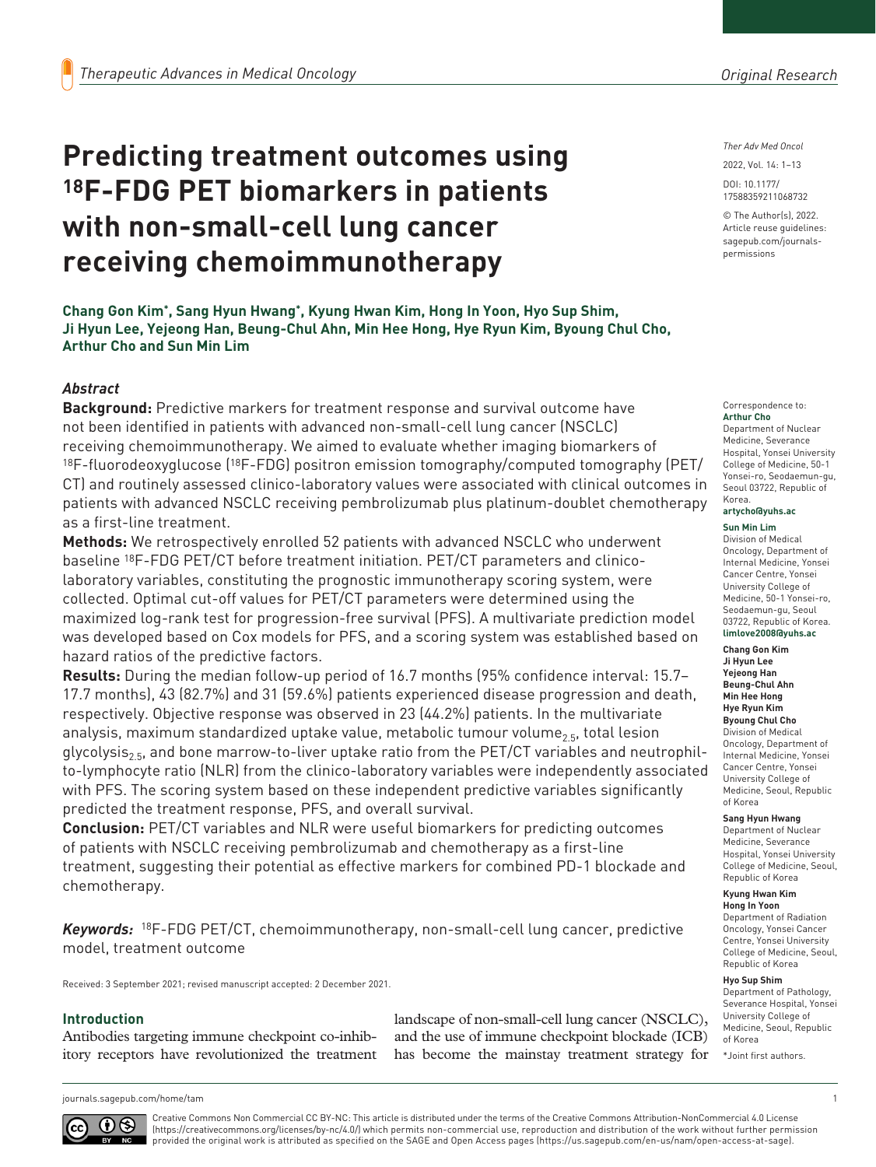# **Predicting treatment outcomes using 18F-FDG PET biomarkers in patients with non-small-cell lung cancer receiving chemoimmunotherapy**

*Ther Adv Med Oncol*

DOI: 10.1177/ 2022, Vol. 14: 1–13

17588359211068732

© The Author(s), 2022. Article reuse guidelines: [sagepub.com/journals](https://uk.sagepub.com/en-gb/journals-permissions)[permissions](https://uk.sagepub.com/en-gb/journals-permissions)

Correspondence to: **Arthur Cho**

Department of Nuclear Medicine, Severance Hospital, Yonsei University College of Medicine, 50-1 Yonsei-ro, Seodaemun-gu, Seoul 03722, Republic of Korea. **artycho@yuhs.ac**

# **Sun Min Lim**

Division of Medical Oncology, Department of Internal Medicine, Yonsei Cancer Centre, Yonsei University College of Medicine, 50-1 Yonsei-ro, Seodaemun-gu, Seoul 03722, Republic of Korea. **limlove2008@yuhs.ac**

**Chang Gon Kim Ji Hyun Lee Yejeong Han Beung-Chul Ahn Min Hee Hong Hye Ryun Kim Byoung Chul Cho** Division of Medical Oncology, Department of Internal Medicine, Yonsei Cancer Centre, Yonsei University College of Medicine, Seoul, Republic of Korea

#### **Sang Hyun Hwang**

Department of Nuclear Medicine, Severance Hospital, Yonsei University College of Medicine, Seoul, Republic of Korea

#### **Kyung Hwan Kim Hong In Yoon**

Department of Radiation Oncology, Yonsei Cancer Centre, Yonsei University College of Medicine, Seoul, Republic of Korea

#### **Hyo Sup Shim**

Department of Pathology, Severance Hospital, Yonsei University College of Medicine, Seoul, Republic of Korea

\*Joint first authors.

**Chang Gon Kim\*, Sang Hyun Hwang\*, Kyung Hwan Kim, Hong In Yoon, Hyo Sup Shim, Ji Hyun Lee, Yejeong Han, Beung-Chul Ahn, Min Hee Hong, Hye Ryun Kim, Byoung Chul Cho, Arthur Cho and Sun Min Lim**

# *Abstract*

**Background:** Predictive markers for treatment response and survival outcome have not been identified in patients with advanced non-small-cell lung cancer (NSCLC) receiving chemoimmunotherapy. We aimed to evaluate whether imaging biomarkers of  $18F$ -fluorodeoxyglucose ( $18F$ -FDG) positron emission tomography/computed tomography (PET/ CT) and routinely assessed clinico-laboratory values were associated with clinical outcomes in patients with advanced NSCLC receiving pembrolizumab plus platinum-doublet chemotherapy as a first-line treatment.

**Methods:** We retrospectively enrolled 52 patients with advanced NSCLC who underwent baseline 18F-FDG PET/CT before treatment initiation. PET/CT parameters and clinicolaboratory variables, constituting the prognostic immunotherapy scoring system, were collected. Optimal cut-off values for PET/CT parameters were determined using the maximized log-rank test for progression-free survival (PFS). A multivariate prediction model was developed based on Cox models for PFS, and a scoring system was established based on hazard ratios of the predictive factors.

**Results:** During the median follow-up period of 16.7 months (95% confidence interval: 15.7– 17.7 months), 43 (82.7%) and 31 (59.6%) patients experienced disease progression and death, respectively. Objective response was observed in 23 (44.2%) patients. In the multivariate analysis, maximum standardized uptake value, metabolic tumour volume<sub>2.5</sub>, total lesion glycolysis<sub>2.5</sub>, and bone marrow-to-liver uptake ratio from the PET/CT variables and neutrophilto-lymphocyte ratio (NLR) from the clinico-laboratory variables were independently associated with PFS. The scoring system based on these independent predictive variables significantly predicted the treatment response, PFS, and overall survival.

**Conclusion:** PET/CT variables and NLR were useful biomarkers for predicting outcomes of patients with NSCLC receiving pembrolizumab and chemotherapy as a first-line treatment, suggesting their potential as effective markers for combined PD-1 blockade and chemotherapy.

*Keywords:* 18F-FDG PET/CT, chemoimmunotherapy, non-small-cell lung cancer, predictive model, treatment outcome

Received: 3 September 2021; revised manuscript accepted: 2 December 2021.

#### **Introduction**

Antibodies targeting immune checkpoint co-inhibitory receptors have revolutionized the treatment landscape of non-small-cell lung cancer (NSCLC), and the use of immune checkpoint blockade (ICB) has become the mainstay treatment strategy for

Creative Commons Non Commercial CC BY-NC: This article is distributed under the terms of the Creative Commons Attribution-NonCommercial 4.0 License (https://creativecommons.org/licenses/by-nc/4.0/) which permits non-commercial use, reproduction and distribution of the work without further permission provided the original work is attributed as specified on the SAGE and Open Access pages (https://us.sagepub.com/en-us/nam/open-access-at-sage).

 $0$ (cc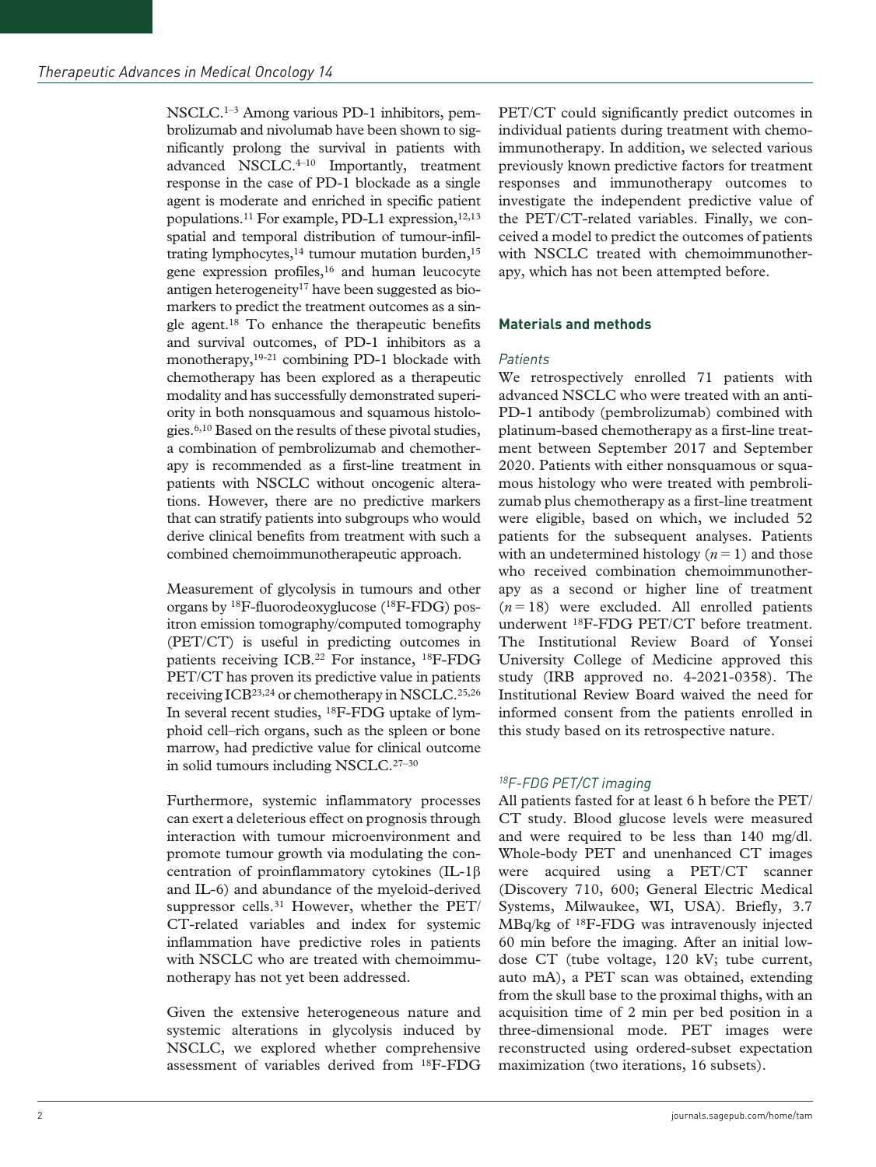NSCLC.1–3 Among various PD-1 inhibitors, pembrolizumab and nivolumab have been shown to significantly prolong the survival in patients with advanced NSCLC.<sup>4-10</sup> Importantly, treatment response in the case of PD-1 blockade as a single agent is moderate and enriched in specific patient populations.<sup>11</sup> For example, PD-L1 expression,<sup>12,13</sup> spatial and temporal distribution of tumour-infiltrating lymphocytes, $14$  tumour mutation burden, $15$ gene expression profiles,16 and human leucocyte antigen heterogeneity<sup>17</sup> have been suggested as biomarkers to predict the treatment outcomes as a single agent.18 To enhance the therapeutic benefits and survival outcomes, of PD-1 inhibitors as a monotherapy,<sup>19-21</sup> combining PD-1 blockade with chemotherapy has been explored as a therapeutic modality and has successfully demonstrated superiority in both nonsquamous and squamous histologies.6,10 Based on the results of these pivotal studies, a combination of pembrolizumab and chemotherapy is recommended as a first-line treatment in patients with NSCLC without oncogenic alterations. However, there are no predictive markers that can stratify patients into subgroups who would derive clinical benefits from treatment with such a combined chemoimmunotherapeutic approach.

Measurement of glycolysis in tumours and other organs by 18F-fluorodeoxyglucose (18F-FDG) positron emission tomography/computed tomography (PET/CT) is useful in predicting outcomes in patients receiving ICB.22 For instance, 18F-FDG PET/CT has proven its predictive value in patients receiving ICB23,24 or chemotherapy in NSCLC.25,26 In several recent studies, 18F-FDG uptake of lymphoid cell–rich organs, such as the spleen or bone marrow, had predictive value for clinical outcome in solid tumours including NSCLC.27–30

Furthermore, systemic inflammatory processes can exert a deleterious effect on prognosis through interaction with tumour microenvironment and promote tumour growth via modulating the concentration of proinflammatory cytokines (IL-1β and IL-6) and abundance of the myeloid-derived suppressor cells.<sup>31</sup> However, whether the PET/ CT-related variables and index for systemic inflammation have predictive roles in patients with NSCLC who are treated with chemoimmunotherapy has not yet been addressed.

Given the extensive heterogeneous nature and systemic alterations in glycolysis induced by NSCLC, we explored whether comprehensive assessment of variables derived from 18F-FDG

PET/CT could significantly predict outcomes in individual patients during treatment with chemoimmunotherapy. In addition, we selected various previously known predictive factors for treatment responses and immunotherapy outcomes to investigate the independent predictive value of the PET/CT-related variables. Finally, we conceived a model to predict the outcomes of patients with NSCLC treated with chemoimmunotherapy, which has not been attempted before.

# **Materials and methods**

#### *Patients*

We retrospectively enrolled 71 patients with advanced NSCLC who were treated with an anti-PD-1 antibody (pembrolizumab) combined with platinum-based chemotherapy as a first-line treatment between September 2017 and September 2020. Patients with either nonsquamous or squamous histology who were treated with pembrolizumab plus chemotherapy as a first-line treatment were eligible, based on which, we included 52 patients for the subsequent analyses. Patients with an undetermined histology  $(n=1)$  and those who received combination chemoimmunotherapy as a second or higher line of treatment  $(n=18)$  were excluded. All enrolled patients underwent 18F-FDG PET/CT before treatment. The Institutional Review Board of Yonsei University College of Medicine approved this study (IRB approved no. 4-2021-0358). The Institutional Review Board waived the need for informed consent from the patients enrolled in this study based on its retrospective nature.

# *18F-FDG PET/CT imaging*

All patients fasted for at least 6 h before the PET/ CT study. Blood glucose levels were measured and were required to be less than 140 mg/dl. Whole-body PET and unenhanced CT images were acquired using a PET/CT scanner (Discovery 710, 600; General Electric Medical Systems, Milwaukee, WI, USA). Briefly, 3.7 MBq/kg of 18F-FDG was intravenously injected 60 min before the imaging. After an initial lowdose CT (tube voltage, 120 kV; tube current, auto mA), a PET scan was obtained, extending from the skull base to the proximal thighs, with an acquisition time of 2 min per bed position in a three-dimensional mode. PET images were reconstructed using ordered-subset expectation maximization (two iterations, 16 subsets).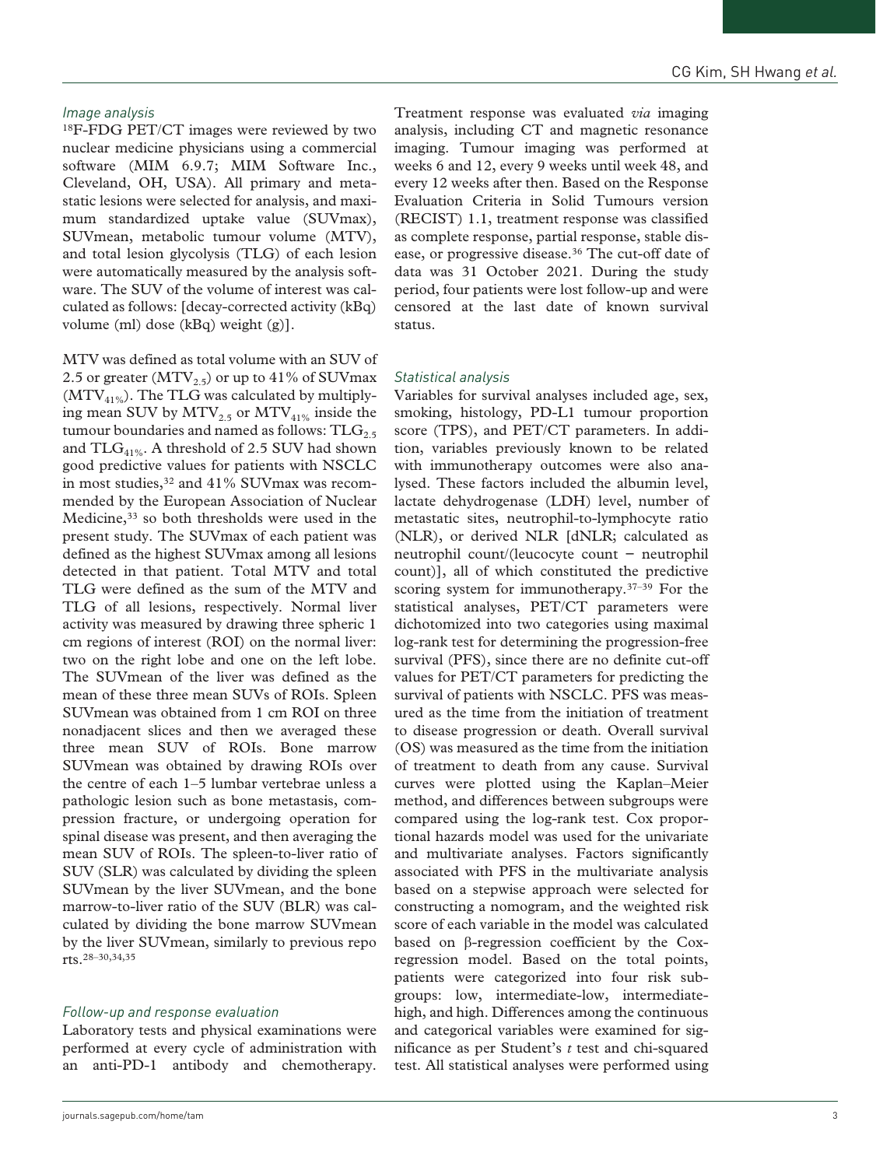#### *Image analysis*

18F-FDG PET/CT images were reviewed by two nuclear medicine physicians using a commercial software (MIM 6.9.7; MIM Software Inc., Cleveland, OH, USA). All primary and metastatic lesions were selected for analysis, and maximum standardized uptake value (SUVmax), SUVmean, metabolic tumour volume (MTV), and total lesion glycolysis (TLG) of each lesion were automatically measured by the analysis software. The SUV of the volume of interest was calculated as follows: [decay-corrected activity (kBq) volume (ml) dose (kBq) weight (g)].

MTV was defined as total volume with an SUV of 2.5 or greater ( $MTV_{2.5}$ ) or up to 41% of SUVmax  $(MTV_{41\%})$ . The TLG was calculated by multiplying mean SUV by  $MTV_{2.5}$  or  $MTV_{41\%}$  inside the tumour boundaries and named as follows:  $TLG<sub>2.5</sub>$ and  $TLG<sub>41%</sub>$ . A threshold of 2.5 SUV had shown good predictive values for patients with NSCLC in most studies,<sup>32</sup> and 41% SUVmax was recommended by the European Association of Nuclear Medicine,<sup>33</sup> so both thresholds were used in the present study. The SUVmax of each patient was defined as the highest SUVmax among all lesions detected in that patient. Total MTV and total TLG were defined as the sum of the MTV and TLG of all lesions, respectively. Normal liver activity was measured by drawing three spheric 1 cm regions of interest (ROI) on the normal liver: two on the right lobe and one on the left lobe. The SUVmean of the liver was defined as the mean of these three mean SUVs of ROIs. Spleen SUVmean was obtained from 1 cm ROI on three nonadjacent slices and then we averaged these three mean SUV of ROIs. Bone marrow SUVmean was obtained by drawing ROIs over the centre of each 1–5 lumbar vertebrae unless a pathologic lesion such as bone metastasis, compression fracture, or undergoing operation for spinal disease was present, and then averaging the mean SUV of ROIs. The spleen-to-liver ratio of SUV (SLR) was calculated by dividing the spleen SUVmean by the liver SUVmean, and the bone marrow-to-liver ratio of the SUV (BLR) was calculated by dividing the bone marrow SUVmean by the liver SUVmean, similarly to previous repo rts.28–30,34,35

#### *Follow-up and response evaluation*

Laboratory tests and physical examinations were performed at every cycle of administration with an anti-PD-1 antibody and chemotherapy.

Treatment response was evaluated *via* imaging analysis, including CT and magnetic resonance imaging. Tumour imaging was performed at weeks 6 and 12, every 9 weeks until week 48, and every 12 weeks after then. Based on the Response Evaluation Criteria in Solid Tumours version (RECIST) 1.1, treatment response was classified as complete response, partial response, stable disease, or progressive disease.<sup>36</sup> The cut-off date of data was 31 October 2021. During the study period, four patients were lost follow-up and were censored at the last date of known survival status.

#### *Statistical analysis*

Variables for survival analyses included age, sex, smoking, histology, PD-L1 tumour proportion score (TPS), and PET/CT parameters. In addition, variables previously known to be related with immunotherapy outcomes were also analysed. These factors included the albumin level, lactate dehydrogenase (LDH) level, number of metastatic sites, neutrophil-to-lymphocyte ratio (NLR), or derived NLR [dNLR; calculated as neutrophil count/(leucocyte count − neutrophil count)], all of which constituted the predictive scoring system for immunotherapy.<sup>37–39</sup> For the statistical analyses, PET/CT parameters were dichotomized into two categories using maximal log-rank test for determining the progression-free survival (PFS), since there are no definite cut-off values for PET/CT parameters for predicting the survival of patients with NSCLC. PFS was measured as the time from the initiation of treatment to disease progression or death. Overall survival (OS) was measured as the time from the initiation of treatment to death from any cause. Survival curves were plotted using the Kaplan–Meier method, and differences between subgroups were compared using the log-rank test. Cox proportional hazards model was used for the univariate and multivariate analyses. Factors significantly associated with PFS in the multivariate analysis based on a stepwise approach were selected for constructing a nomogram, and the weighted risk score of each variable in the model was calculated based on β-regression coefficient by the Coxregression model. Based on the total points, patients were categorized into four risk subgroups: low, intermediate-low, intermediatehigh, and high. Differences among the continuous and categorical variables were examined for significance as per Student's *t* test and chi-squared test. All statistical analyses were performed using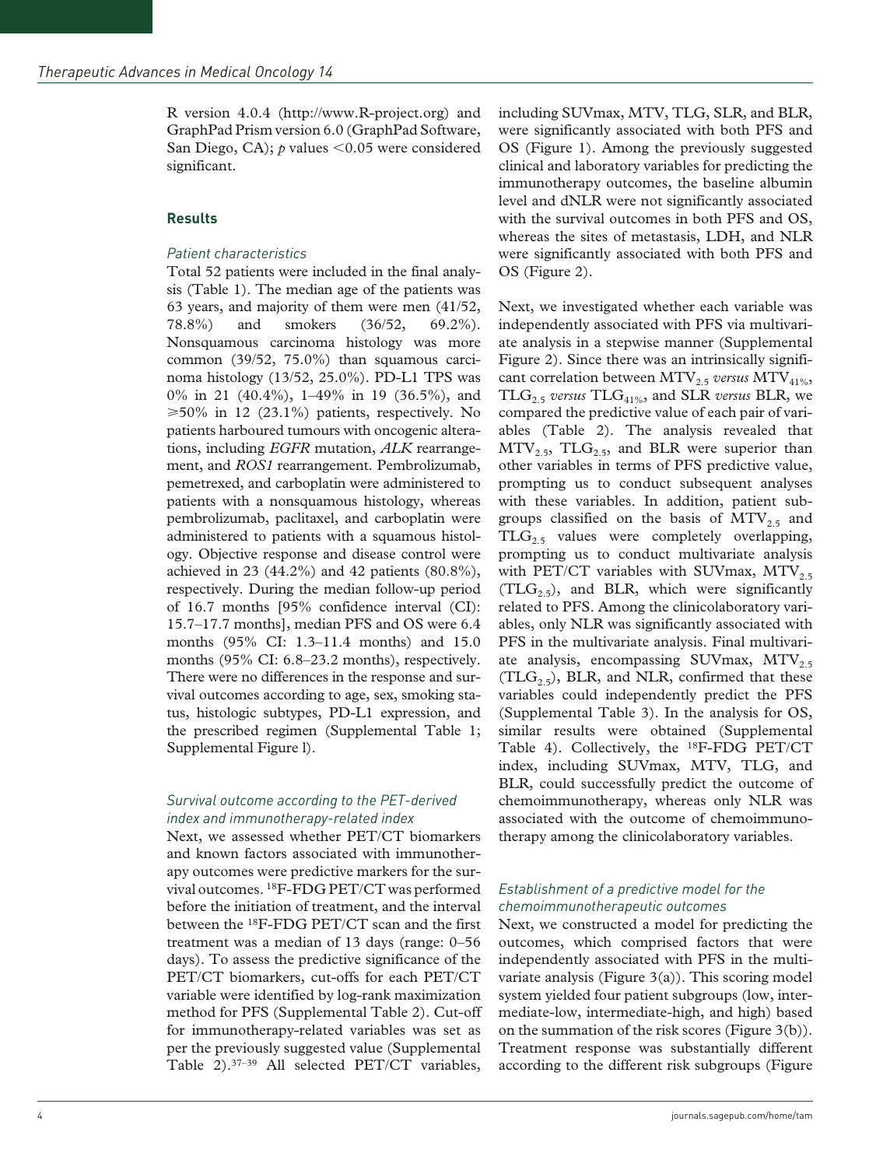R version 4.0.4 (http://www.R-project.org) and GraphPad Prism version 6.0 (GraphPad Software, San Diego, CA); *p* values <0.05 were considered significant.

#### **Results**

#### *Patient characteristics*

Total 52 patients were included in the final analysis (Table 1). The median age of the patients was 63 years, and majority of them were men (41/52, 78.8%) and smokers (36/52, 69.2%). Nonsquamous carcinoma histology was more common (39/52, 75.0%) than squamous carcinoma histology (13/52, 25.0%). PD-L1 TPS was 0% in 21 (40.4%), 1–49% in 19 (36.5%), and  $\geq 50\%$  in 12 (23.1%) patients, respectively. No patients harboured tumours with oncogenic alterations, including *EGFR* mutation, *ALK* rearrangement, and *ROS1* rearrangement. Pembrolizumab, pemetrexed, and carboplatin were administered to patients with a nonsquamous histology, whereas pembrolizumab, paclitaxel, and carboplatin were administered to patients with a squamous histology. Objective response and disease control were achieved in 23 (44.2%) and 42 patients (80.8%), respectively. During the median follow-up period of 16.7 months [95% confidence interval (CI): 15.7–17.7 months], median PFS and OS were 6.4 months (95% CI: 1.3–11.4 months) and 15.0 months (95% CI: 6.8–23.2 months), respectively. There were no differences in the response and survival outcomes according to age, sex, smoking status, histologic subtypes, PD-L1 expression, and the prescribed regimen (Supplemental Table 1; Supplemental Figure l).

## *Survival outcome according to the PET-derived index and immunotherapy-related index*

Next, we assessed whether PET/CT biomarkers and known factors associated with immunotherapy outcomes were predictive markers for the survival outcomes. 18F-FDG PET/CT was performed before the initiation of treatment, and the interval between the 18F-FDG PET/CT scan and the first treatment was a median of 13 days (range: 0–56 days). To assess the predictive significance of the PET/CT biomarkers, cut-offs for each PET/CT variable were identified by log-rank maximization method for PFS (Supplemental Table 2). Cut-off for immunotherapy-related variables was set as per the previously suggested value (Supplemental Table 2).37–39 All selected PET/CT variables,

including SUVmax, MTV, TLG, SLR, and BLR, were significantly associated with both PFS and OS (Figure 1). Among the previously suggested clinical and laboratory variables for predicting the immunotherapy outcomes, the baseline albumin level and dNLR were not significantly associated with the survival outcomes in both PFS and OS, whereas the sites of metastasis, LDH, and NLR were significantly associated with both PFS and OS (Figure 2).

Next, we investigated whether each variable was independently associated with PFS via multivariate analysis in a stepwise manner (Supplemental Figure 2). Since there was an intrinsically significant correlation between MTV<sub>2.5</sub> versus MTV<sub>41%</sub>, TLG2.5 *versus* TLG41%, and SLR *versus* BLR, we compared the predictive value of each pair of variables (Table 2). The analysis revealed that  $MTV<sub>2.5</sub>, TLG<sub>2.5</sub>, and BLR were superior than$ other variables in terms of PFS predictive value, prompting us to conduct subsequent analyses with these variables. In addition, patient subgroups classified on the basis of  $MTV<sub>2.5</sub>$  and  $TLG<sub>2.5</sub>$  values were completely overlapping, prompting us to conduct multivariate analysis with PET/CT variables with SUVmax,  $MTV<sub>2.5</sub>$  $(TLG_{2.5})$ , and BLR, which were significantly related to PFS. Among the clinicolaboratory variables, only NLR was significantly associated with PFS in the multivariate analysis. Final multivariate analysis, encompassing SUVmax,  $MTV<sub>2.5</sub>$  $(TLG_{2.5})$ , BLR, and NLR, confirmed that these variables could independently predict the PFS (Supplemental Table 3). In the analysis for OS, similar results were obtained (Supplemental Table 4). Collectively, the 18F-FDG PET/CT index, including SUVmax, MTV, TLG, and BLR, could successfully predict the outcome of chemoimmunotherapy, whereas only NLR was associated with the outcome of chemoimmunotherapy among the clinicolaboratory variables.

## *Establishment of a predictive model for the chemoimmunotherapeutic outcomes*

Next, we constructed a model for predicting the outcomes, which comprised factors that were independently associated with PFS in the multivariate analysis (Figure  $3(a)$ ). This scoring model system yielded four patient subgroups (low, intermediate-low, intermediate-high, and high) based on the summation of the risk scores (Figure 3(b)). Treatment response was substantially different according to the different risk subgroups (Figure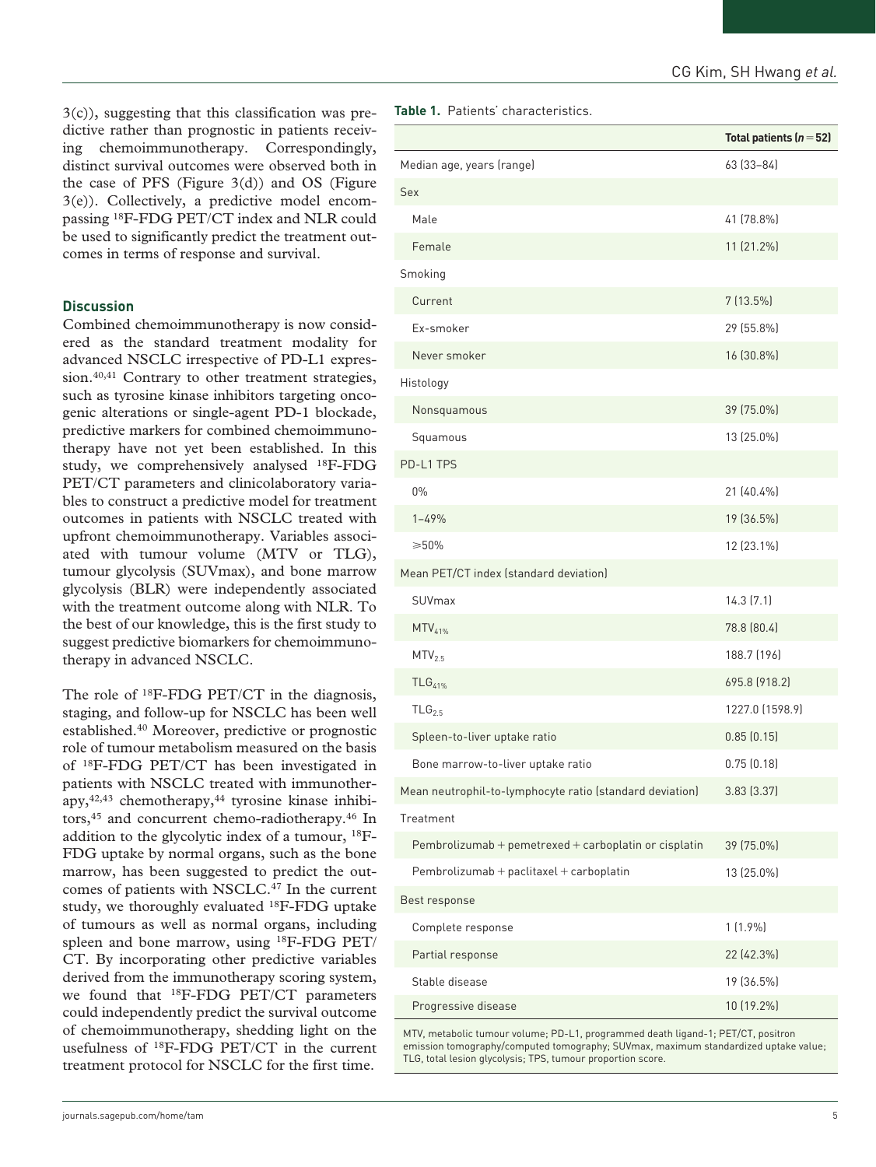3(c)), suggesting that this classification was predictive rather than prognostic in patients receiving chemoimmunotherapy. Correspondingly, distinct survival outcomes were observed both in the case of PFS (Figure  $3(d)$ ) and OS (Figure 3(e)). Collectively, a predictive model encompassing 18F-FDG PET/CT index and NLR could be used to significantly predict the treatment outcomes in terms of response and survival.

#### **Discussion**

Combined chemoimmunotherapy is now considered as the standard treatment modality for advanced NSCLC irrespective of PD-L1 expression.<sup>40,41</sup> Contrary to other treatment strategies, such as tyrosine kinase inhibitors targeting oncogenic alterations or single-agent PD-1 blockade, predictive markers for combined chemoimmunotherapy have not yet been established. In this study, we comprehensively analysed 18F-FDG PET/CT parameters and clinicolaboratory variables to construct a predictive model for treatment outcomes in patients with NSCLC treated with upfront chemoimmunotherapy. Variables associated with tumour volume (MTV or TLG), tumour glycolysis (SUVmax), and bone marrow glycolysis (BLR) were independently associated with the treatment outcome along with NLR. To the best of our knowledge, this is the first study to suggest predictive biomarkers for chemoimmunotherapy in advanced NSCLC.

The role of <sup>18</sup>F-FDG PET/CT in the diagnosis, staging, and follow-up for NSCLC has been well established.40 Moreover, predictive or prognostic role of tumour metabolism measured on the basis of 18F-FDG PET/CT has been investigated in patients with NSCLC treated with immunother $apy,$ <sup>42,43</sup> chemotherapy,<sup>44</sup> tyrosine kinase inhibitors,<sup>45</sup> and concurrent chemo-radiotherapy.<sup>46</sup> In addition to the glycolytic index of a tumour, 18F-FDG uptake by normal organs, such as the bone marrow, has been suggested to predict the outcomes of patients with NSCLC.47 In the current study, we thoroughly evaluated 18F-FDG uptake of tumours as well as normal organs, including spleen and bone marrow, using 18F-FDG PET/ CT. By incorporating other predictive variables derived from the immunotherapy scoring system, we found that 18F-FDG PET/CT parameters could independently predict the survival outcome of chemoimmunotherapy, shedding light on the usefulness of 18F-FDG PET/CT in the current treatment protocol for NSCLC for the first time.

**Table 1.** Patients' characteristics.

|                                                          | Total patients $(n=52)$ |  |  |
|----------------------------------------------------------|-------------------------|--|--|
| Median age, years (range)                                | 63 (33-84)              |  |  |
| <b>Sex</b>                                               |                         |  |  |
| Male                                                     | 41 (78.8%)              |  |  |
| Female                                                   | 11 (21.2%)              |  |  |
| Smoking                                                  |                         |  |  |
| Current                                                  | $7(13.5\%)$             |  |  |
| Ex-smoker                                                | 29 (55.8%)              |  |  |
| Never smoker                                             | 16 (30.8%)              |  |  |
| Histology                                                |                         |  |  |
| Nonsquamous                                              | 39 (75.0%)              |  |  |
| Squamous                                                 | 13 (25.0%)              |  |  |
| PD-L1 TPS                                                |                         |  |  |
| $0\%$                                                    | 21 (40.4%)              |  |  |
| $1 - 49%$                                                | 19 (36.5%)              |  |  |
| $\geq 50\%$                                              | 12 (23.1%)              |  |  |
| Mean PET/CT index (standard deviation)                   |                         |  |  |
| SUVmax                                                   | 14.3(7.1)               |  |  |
| $MTV_{41\%}$                                             | 78.8 (80.4)             |  |  |
| MTV <sub>2.5</sub>                                       | 188.7 (196)             |  |  |
| $TLG41%$                                                 | 695.8 (918.2)           |  |  |
| TLG <sub>2.5</sub>                                       | 1227.0 (1598.9)         |  |  |
| Spleen-to-liver uptake ratio                             | 0.85(0.15)              |  |  |
| Bone marrow-to-liver uptake ratio                        | 0.75(0.18)              |  |  |
| Mean neutrophil-to-lymphocyte ratio (standard deviation) | 3.83 (3.37)             |  |  |
| Treatment                                                |                         |  |  |
| Pembrolizumab + pemetrexed + carboplatin or cisplatin    | 39 (75.0%)              |  |  |
| Pembrolizumab + paclitaxel + carboplatin                 | 13 (25.0%)              |  |  |
| Best response                                            |                         |  |  |
| Complete response                                        | $1(1.9\%)$              |  |  |
| Partial response                                         | 22 (42.3%)              |  |  |
| Stable disease                                           | 19 (36.5%)              |  |  |
| Progressive disease                                      | 10 (19.2%)              |  |  |

MTV, metabolic tumour volume; PD-L1, programmed death ligand-1; PET/CT, positron emission tomography/computed tomography; SUVmax, maximum standardized uptake value; TLG, total lesion glycolysis; TPS, tumour proportion score.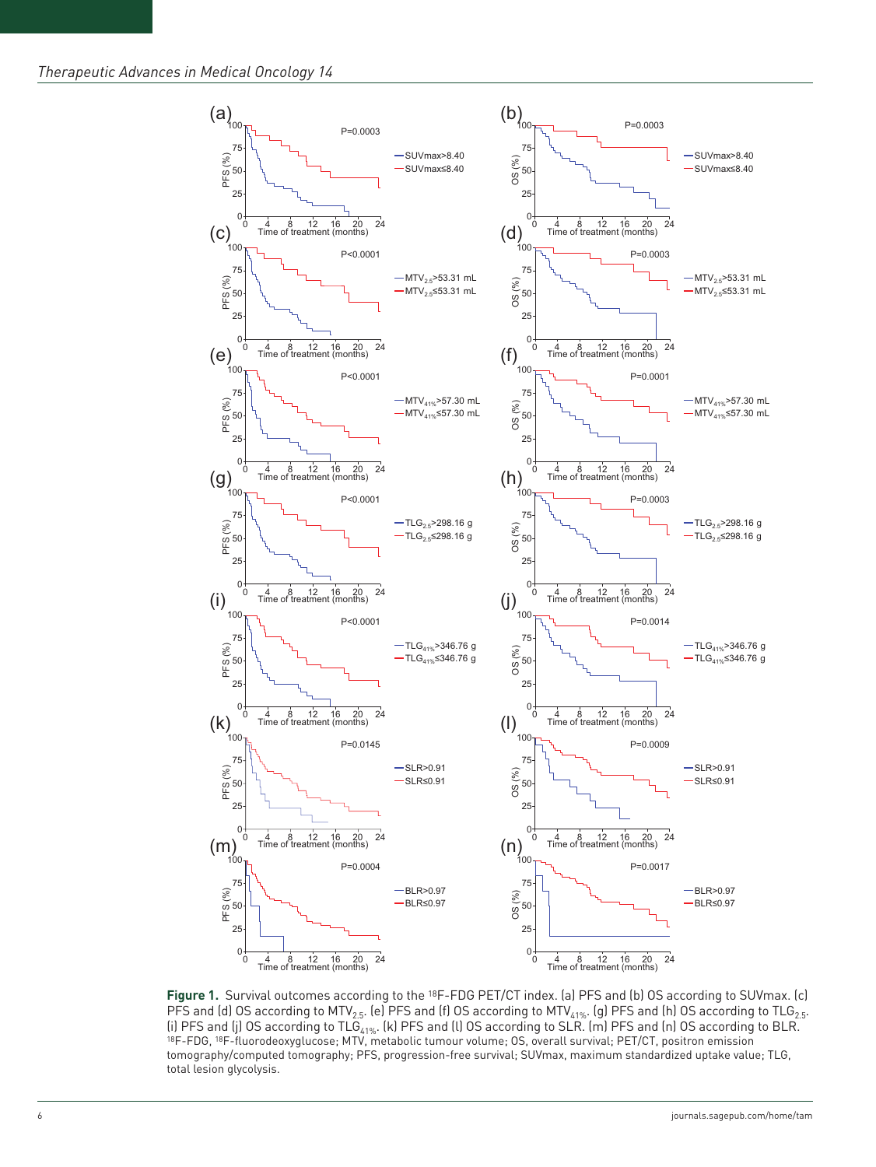

**Figure 1.** Survival outcomes according to the 18F-FDG PET/CT index. (a) PFS and (b) OS according to SUVmax. (c) PFS and (d) OS according to MTV<sub>2.5</sub>. (e) PFS and (f) OS according to MTV<sub>41%</sub>. (g) PFS and (h) OS according to TLG<sub>2.5</sub>. (i) PFS and (j) OS according to TLG<sub>41%</sub>. (k) PFS and (l) OS according to SLR. (m) PFS and (n) OS according to BLR. 18F-FDG, 18F-fluorodeoxyglucose; MTV, metabolic tumour volume; OS, overall survival; PET/CT, positron emi tomography/computed tomography; PFS, progression-free survival; SUVmax, maximum standardized uptake value; TLG, total lesion glycolysis.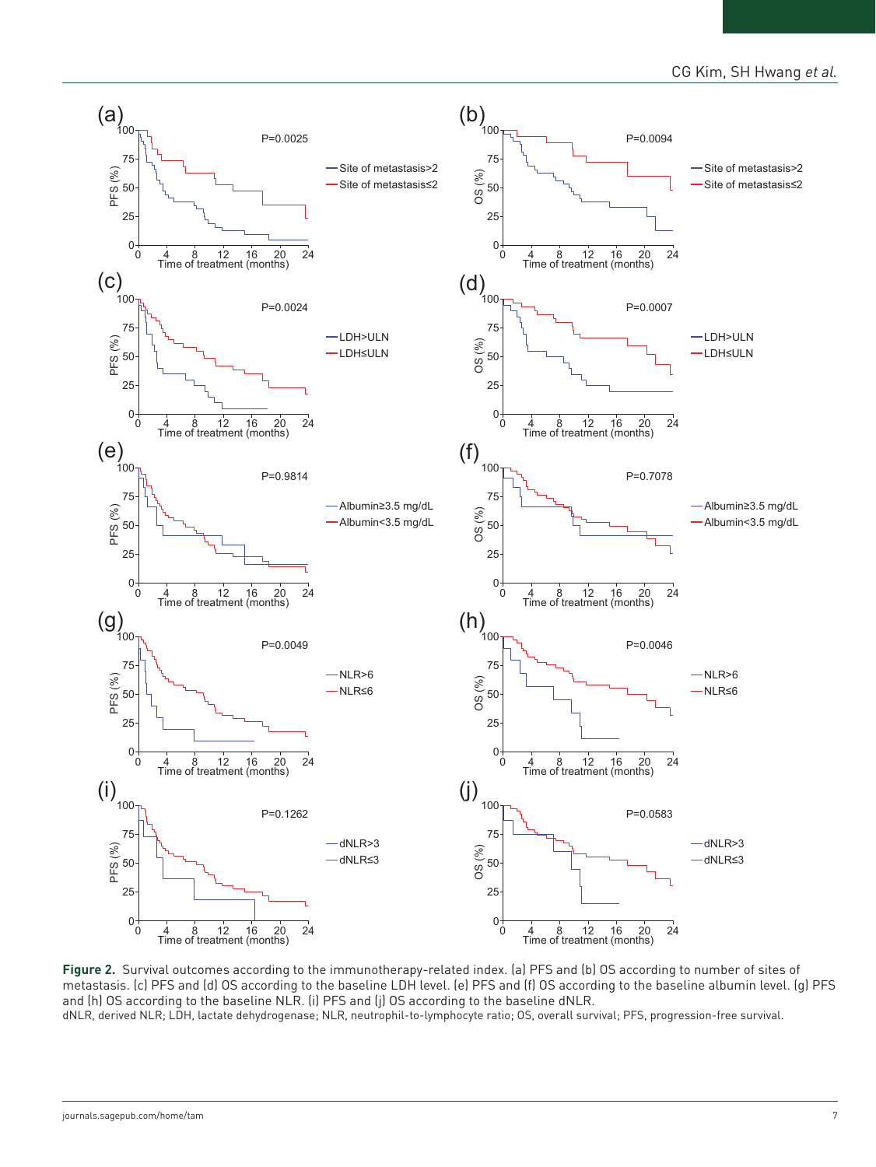

**Figure 2.** Survival outcomes according to the immunotherapy-related index. (a) PFS and (b) OS according to number of sites of metastasis. (c) PFS and (d) OS according to the baseline LDH level. (e) PFS and (f) OS according to the baseline albumin level. (g) PFS and (h) OS according to the baseline NLR. (i) PFS and (j) OS according to the baseline dNLR.

dNLR, derived NLR; LDH, lactate dehydrogenase; NLR, neutrophil-to-lymphocyte ratio; OS, overall survival; PFS, progression-free survival.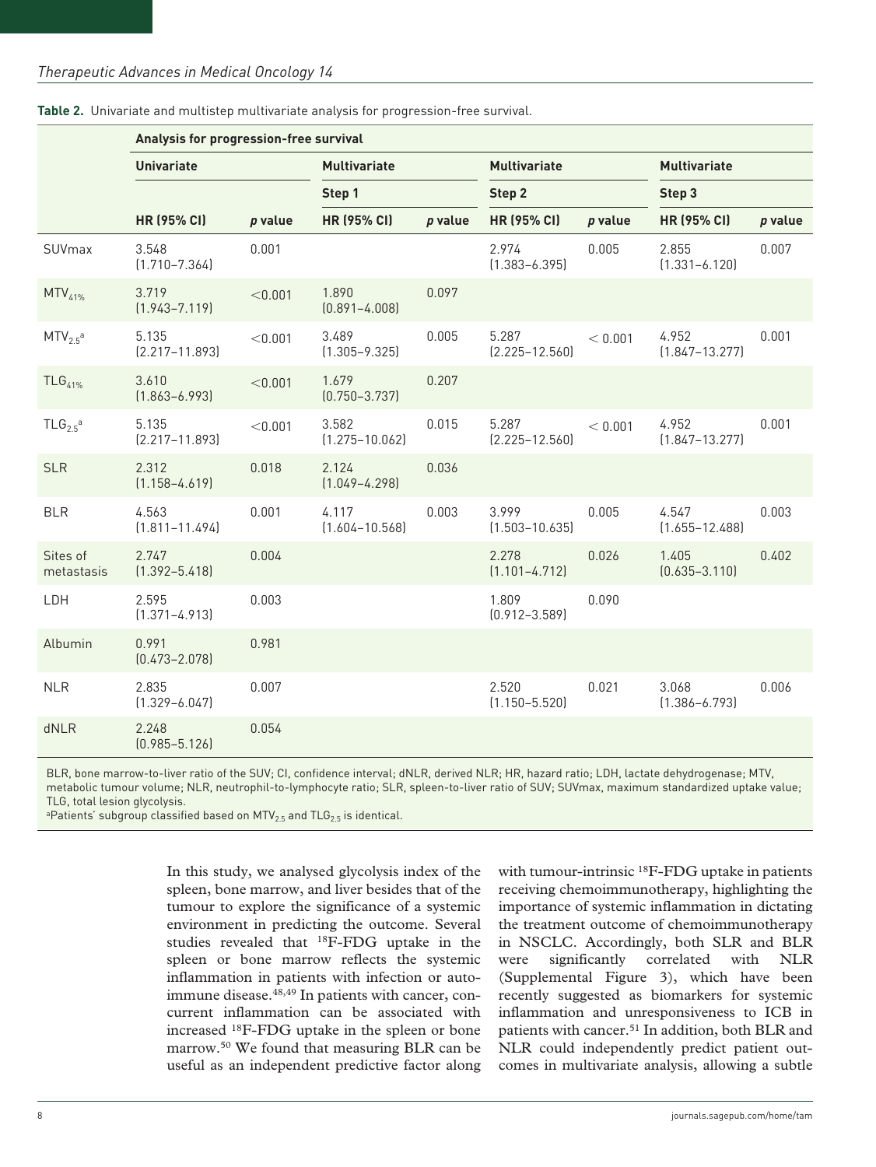|                                 | Analysis for progression-free survival |         |                             |         |                             |           |                             |           |  |
|---------------------------------|----------------------------------------|---------|-----------------------------|---------|-----------------------------|-----------|-----------------------------|-----------|--|
|                                 | <b>Univariate</b>                      |         | <b>Multivariate</b>         |         | <b>Multivariate</b>         |           | <b>Multivariate</b>         |           |  |
|                                 |                                        |         | Step 1                      |         | Step 2                      |           | Step 3                      |           |  |
|                                 | <b>HR (95% CI)</b>                     | p value | <b>HR (95% CI)</b>          | p value | <b>HR (95% CI)</b>          | $p$ value | <b>HR (95% CI)</b>          | $p$ value |  |
| SUVmax                          | 3.548<br>$(1.710 - 7.364)$             | 0.001   |                             |         | 2.974<br>$(1.383 - 6.395)$  | 0.005     | 2.855<br>$(1.331 - 6.120)$  | 0.007     |  |
| $MTV_{41\%}$                    | 3.719<br>$(1.943 - 7.119)$             | < 0.001 | 1.890<br>$(0.891 - 4.008)$  | 0.097   |                             |           |                             |           |  |
| MTV <sub>2.5</sub> <sup>a</sup> | 5.135<br>$[2.217 - 11.893]$            | < 0.001 | 3.489<br>$(1.305 - 9.325)$  | 0.005   | 5.287<br>$(2.225 - 12.560)$ | < 0.001   | 4.952<br>$(1.847 - 13.277)$ | 0.001     |  |
| $TLG41%$                        | 3.610<br>$(1.863 - 6.993)$             | < 0.001 | 1.679<br>$(0.750 - 3.737)$  | 0.207   |                             |           |                             |           |  |
| $TLG_{2.5}^{\text{a}}$          | 5.135<br>$[2.217 - 11.893]$            | < 0.001 | 3.582<br>$(1.275 - 10.062)$ | 0.015   | 5.287<br>$(2.225 - 12.560)$ | < 0.001   | 4.952<br>$(1.847 - 13.277)$ | 0.001     |  |
| <b>SLR</b>                      | 2.312<br>$(1.158 - 4.619)$             | 0.018   | 2.124<br>$(1.049 - 4.298)$  | 0.036   |                             |           |                             |           |  |
| <b>BLR</b>                      | 4.563<br>$(1.811 - 11.494)$            | 0.001   | 4.117<br>$(1.604 - 10.568)$ | 0.003   | 3.999<br>$(1.503 - 10.635)$ | 0.005     | 4.547<br>$(1.655 - 12.488)$ | 0.003     |  |
| Sites of<br>metastasis          | 2.747<br>$(1.392 - 5.418)$             | 0.004   |                             |         | 2.278<br>$(1.101 - 4.712)$  | 0.026     | 1.405<br>$(0.635 - 3.110)$  | 0.402     |  |
| LDH                             | 2.595<br>$(1.371 - 4.913)$             | 0.003   |                             |         | 1.809<br>$(0.912 - 3.589)$  | 0.090     |                             |           |  |
| Albumin                         | 0.991<br>$(0.473 - 2.078)$             | 0.981   |                             |         |                             |           |                             |           |  |
| <b>NLR</b>                      | 2.835<br>$(1.329 - 6.047)$             | 0.007   |                             |         | 2.520<br>$(1.150 - 5.520)$  | 0.021     | 3.068<br>$(1.386 - 6.793)$  | 0.006     |  |
| dNLR                            | 2.248<br>$(0.985 - 5.126)$             | 0.054   |                             |         |                             |           |                             |           |  |

#### **Table 2.** Univariate and multistep multivariate analysis for progression-free survival.

BLR, bone marrow-to-liver ratio of the SUV; CI, confidence interval; dNLR, derived NLR; HR, hazard ratio; LDH, lactate dehydrogenase; MTV, metabolic tumour volume; NLR, neutrophil-to-lymphocyte ratio; SLR, spleen-to-liver ratio of SUV; SUVmax, maximum standardized uptake value; TLG, total lesion glycolysis.

aPatients' subgroup classified based on MTV<sub>2.5</sub> and TLG<sub>2.5</sub> is identical.

In this study, we analysed glycolysis index of the spleen, bone marrow, and liver besides that of the tumour to explore the significance of a systemic environment in predicting the outcome. Several studies revealed that 18F-FDG uptake in the spleen or bone marrow reflects the systemic inflammation in patients with infection or autoimmune disease.<sup>48,49</sup> In patients with cancer, concurrent inflammation can be associated with increased 18F-FDG uptake in the spleen or bone marrow.50 We found that measuring BLR can be useful as an independent predictive factor along

with tumour-intrinsic <sup>18</sup>F-FDG uptake in patients receiving chemoimmunotherapy, highlighting the importance of systemic inflammation in dictating the treatment outcome of chemoimmunotherapy in NSCLC. Accordingly, both SLR and BLR were significantly correlated with NLR (Supplemental Figure 3), which have been recently suggested as biomarkers for systemic inflammation and unresponsiveness to ICB in patients with cancer.<sup>51</sup> In addition, both BLR and NLR could independently predict patient outcomes in multivariate analysis, allowing a subtle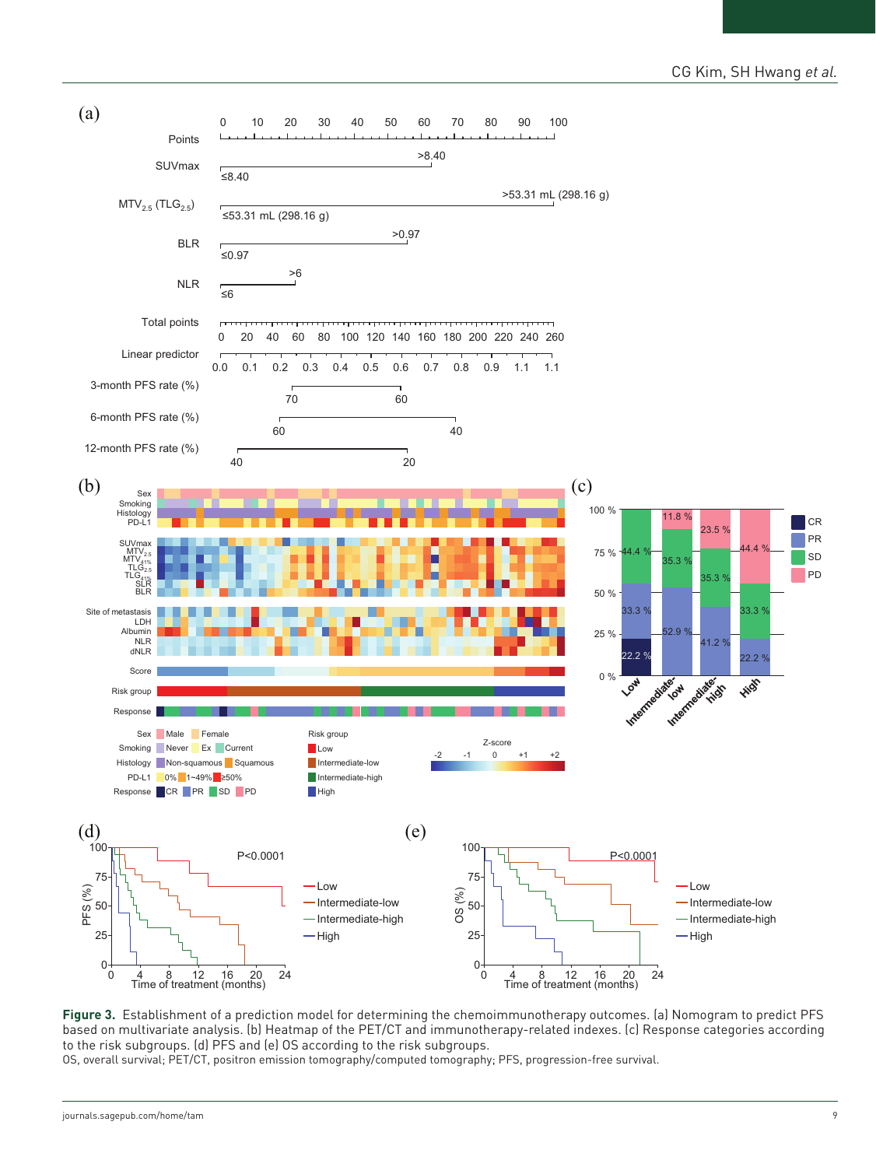# CG Kim, SH Hwang *et al.*



**Figure 3.** Establishment of a prediction model for determining the chemoimmunotherapy outcomes. (a) Nomogram to predict PFS based on multivariate analysis. (b) Heatmap of the PET/CT and immunotherapy-related indexes. (c) Response categories according to the risk subgroups. (d) PFS and (e) OS according to the risk subgroups.

OS, overall survival; PET/CT, positron emission tomography/computed tomography; PFS, progression-free survival.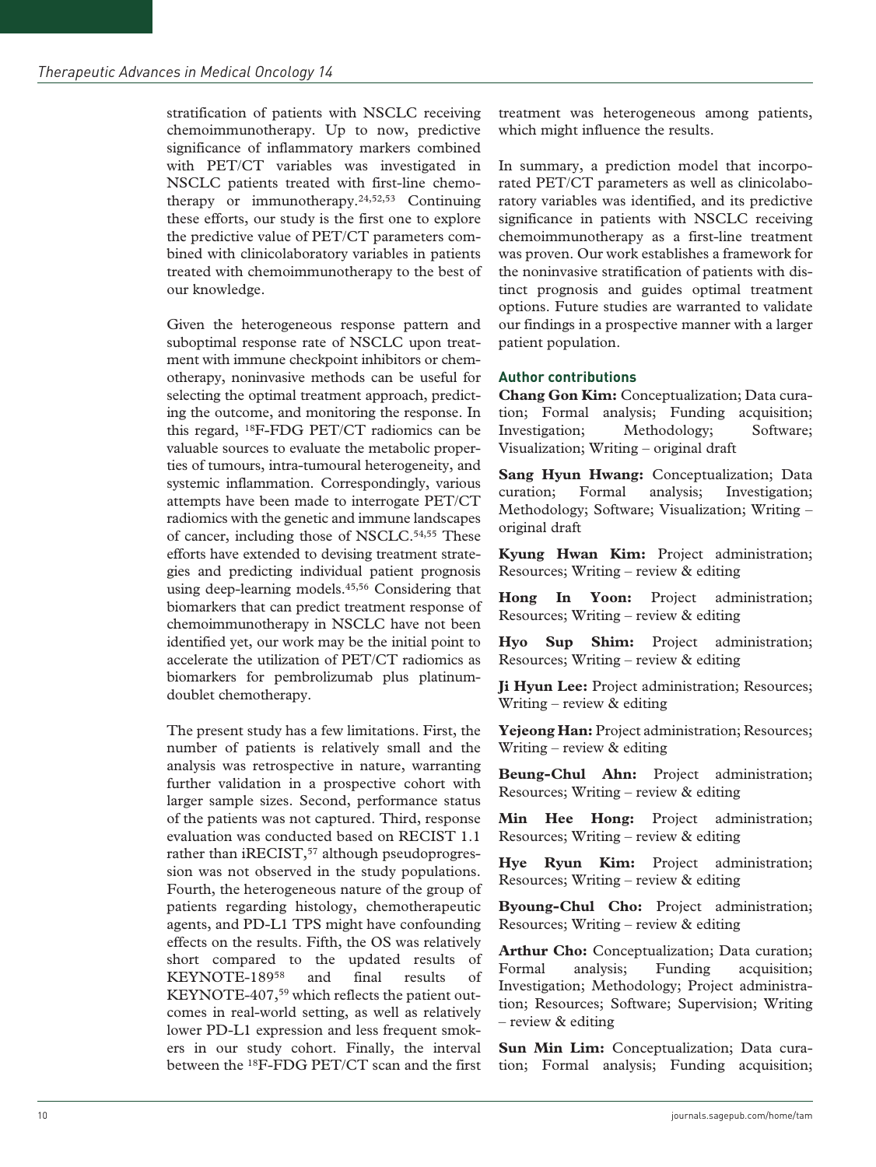stratification of patients with NSCLC receiving chemoimmunotherapy. Up to now, predictive significance of inflammatory markers combined with PET/CT variables was investigated in NSCLC patients treated with first-line chemotherapy or immunotherapy.24,52,53 Continuing these efforts, our study is the first one to explore the predictive value of PET/CT parameters combined with clinicolaboratory variables in patients treated with chemoimmunotherapy to the best of our knowledge.

Given the heterogeneous response pattern and suboptimal response rate of NSCLC upon treatment with immune checkpoint inhibitors or chemotherapy, noninvasive methods can be useful for selecting the optimal treatment approach, predicting the outcome, and monitoring the response. In this regard, 18F-FDG PET/CT radiomics can be valuable sources to evaluate the metabolic properties of tumours, intra-tumoural heterogeneity, and systemic inflammation. Correspondingly, various attempts have been made to interrogate PET/CT radiomics with the genetic and immune landscapes of cancer, including those of NSCLC.<sup>54,55</sup> These efforts have extended to devising treatment strategies and predicting individual patient prognosis using deep-learning models.<sup>45,56</sup> Considering that biomarkers that can predict treatment response of chemoimmunotherapy in NSCLC have not been identified yet, our work may be the initial point to accelerate the utilization of PET/CT radiomics as biomarkers for pembrolizumab plus platinumdoublet chemotherapy.

The present study has a few limitations. First, the number of patients is relatively small and the analysis was retrospective in nature, warranting further validation in a prospective cohort with larger sample sizes. Second, performance status of the patients was not captured. Third, response evaluation was conducted based on RECIST 1.1 rather than iRECIST,<sup>57</sup> although pseudoprogression was not observed in the study populations. Fourth, the heterogeneous nature of the group of patients regarding histology, chemotherapeutic agents, and PD-L1 TPS might have confounding effects on the results. Fifth, the OS was relatively short compared to the updated results of KEYNOTE-18958 and final results of KEYNOTE-407,<sup>59</sup> which reflects the patient outcomes in real-world setting, as well as relatively lower PD-L1 expression and less frequent smokers in our study cohort. Finally, the interval between the 18F-FDG PET/CT scan and the first

treatment was heterogeneous among patients, which might influence the results.

In summary, a prediction model that incorporated PET/CT parameters as well as clinicolaboratory variables was identified, and its predictive significance in patients with NSCLC receiving chemoimmunotherapy as a first-line treatment was proven. Our work establishes a framework for the noninvasive stratification of patients with distinct prognosis and guides optimal treatment options. Future studies are warranted to validate our findings in a prospective manner with a larger patient population.

## **Author contributions**

**Chang Gon Kim:** Conceptualization; Data curation; Formal analysis; Funding acquisition; Investigation; Methodology; Software; Visualization; Writing – original draft

**Sang Hyun Hwang:** Conceptualization; Data curation; Formal analysis; Investigation; Methodology; Software; Visualization; Writing – original draft

**Kyung Hwan Kim:** Project administration; Resources; Writing – review & editing

**Hong In Yoon:** Project administration; Resources; Writing – review & editing

**Hyo Sup Shim:** Project administration; Resources; Writing – review & editing

**Ji Hyun Lee:** Project administration; Resources; Writing – review & editing

**Yejeong Han:** Project administration; Resources; Writing – review & editing

**Beung-Chul Ahn:** Project administration; Resources; Writing – review & editing

**Min Hee Hong:** Project administration; Resources; Writing – review & editing

**Hye Ryun Kim:** Project administration; Resources; Writing – review & editing

**Byoung-Chul Cho:** Project administration; Resources; Writing – review & editing

**Arthur Cho:** Conceptualization; Data curation; Formal analysis; Funding acquisition; Investigation; Methodology; Project administration; Resources; Software; Supervision; Writing – review & editing

**Sun Min Lim:** Conceptualization; Data curation; Formal analysis; Funding acquisition;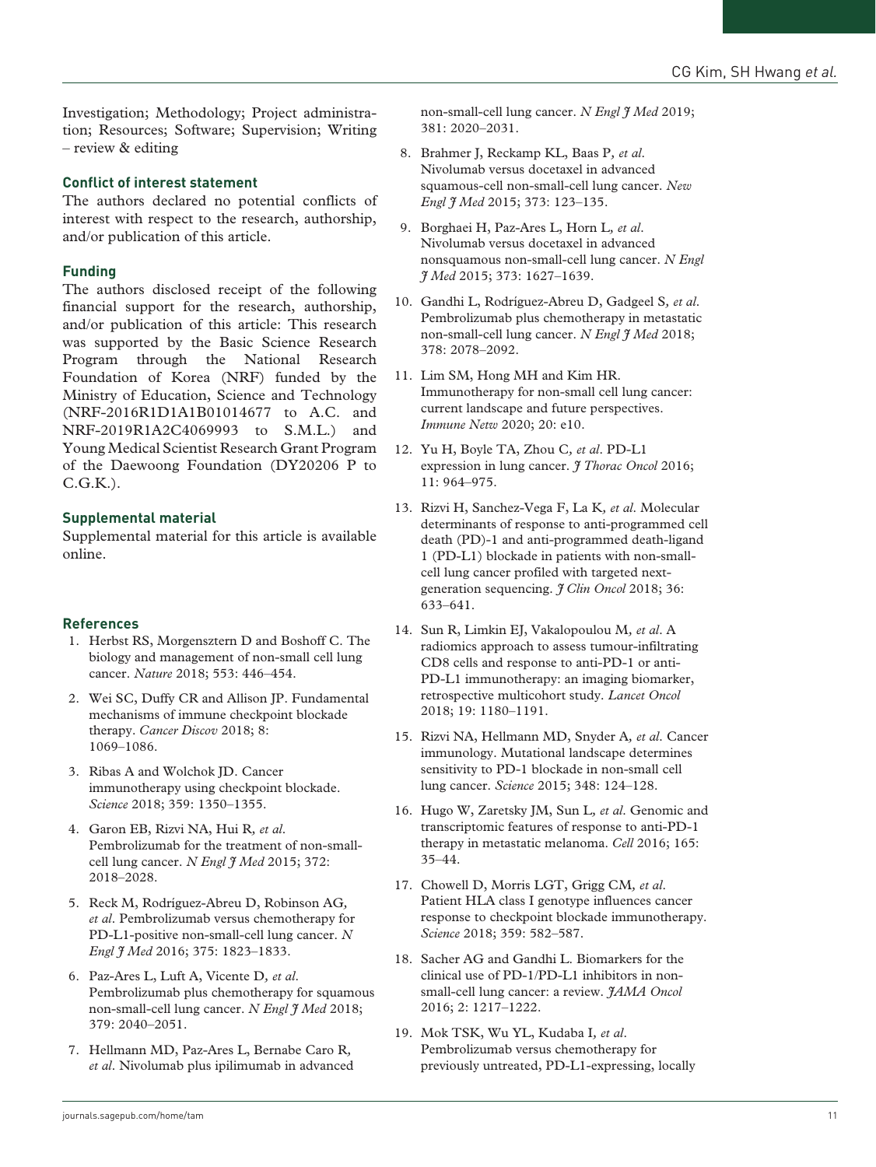Investigation; Methodology; Project administration; Resources; Software; Supervision; Writing – review & editing

#### **Conflict of interest statement**

The authors declared no potential conflicts of interest with respect to the research, authorship, and/or publication of this article.

#### **Funding**

The authors disclosed receipt of the following financial support for the research, authorship, and/or publication of this article: This research was supported by the Basic Science Research Program through the National Research Foundation of Korea (NRF) funded by the Ministry of Education, Science and Technology (NRF-2016R1D1A1B01014677 to A.C. and NRF-2019R1A2C4069993 to S.M.L.) and Young Medical Scientist Research Grant Program of the Daewoong Foundation (DY20206 P to  $C.G.K.$ ).

#### **Supplemental material**

Supplemental material for this article is available online.

## **References**

- 1. Herbst RS, Morgensztern D and Boshoff C. The biology and management of non-small cell lung cancer. *Nature* 2018; 553: 446–454.
- 2. Wei SC, Duffy CR and Allison JP. Fundamental mechanisms of immune checkpoint blockade therapy. *Cancer Discov* 2018; 8: 1069–1086.
- 3. Ribas A and Wolchok JD. Cancer immunotherapy using checkpoint blockade. *Science* 2018; 359: 1350–1355.
- 4. Garon EB, Rizvi NA, Hui R*, et al*. Pembrolizumab for the treatment of non-smallcell lung cancer. *N Engl J Med* 2015; 372: 2018–2028.
- 5. Reck M, Rodríguez-Abreu D, Robinson AG*, et al*. Pembrolizumab versus chemotherapy for PD-L1-positive non-small-cell lung cancer. *N Engl J Med* 2016; 375: 1823–1833.
- 6. Paz-Ares L, Luft A, Vicente D*, et al*. Pembrolizumab plus chemotherapy for squamous non-small-cell lung cancer. *N Engl J Med* 2018; 379: 2040–2051.
- 7. Hellmann MD, Paz-Ares L, Bernabe Caro R*, et al*. Nivolumab plus ipilimumab in advanced

non-small-cell lung cancer. *N Engl I Med* 2019; 381: 2020–2031.

- 8. Brahmer J, Reckamp KL, Baas P*, et al*. Nivolumab versus docetaxel in advanced squamous-cell non-small-cell lung cancer. *New Engl J Med* 2015; 373: 123–135.
- 9. Borghaei H, Paz-Ares L, Horn L*, et al*. Nivolumab versus docetaxel in advanced nonsquamous non-small-cell lung cancer. *N Engl J Med* 2015; 373: 1627–1639.
- 10. Gandhi L, Rodríguez-Abreu D, Gadgeel S*, et al*. Pembrolizumab plus chemotherapy in metastatic non-small-cell lung cancer. *N Engl I Med* 2018; 378: 2078–2092.
- 11. Lim SM, Hong MH and Kim HR. Immunotherapy for non-small cell lung cancer: current landscape and future perspectives. *Immune Netw* 2020; 20: e10.
- 12. Yu H, Boyle TA, Zhou C*, et al*. PD-L1 expression in lung cancer. *J Thorac Oncol* 2016; 11: 964–975.
- 13. Rizvi H, Sanchez-Vega F, La K*, et al*. Molecular determinants of response to anti-programmed cell death (PD)-1 and anti-programmed death-ligand 1 (PD-L1) blockade in patients with non-smallcell lung cancer profiled with targeted nextgeneration sequencing. *J Clin Oncol* 2018; 36: 633–641.
- 14. Sun R, Limkin EJ, Vakalopoulou M*, et al*. A radiomics approach to assess tumour-infiltrating CD8 cells and response to anti-PD-1 or anti-PD-L1 immunotherapy: an imaging biomarker, retrospective multicohort study. *Lancet Oncol* 2018; 19: 1180–1191.
- 15. Rizvi NA, Hellmann MD, Snyder A*, et al*. Cancer immunology. Mutational landscape determines sensitivity to PD-1 blockade in non-small cell lung cancer. *Science* 2015; 348: 124–128.
- 16. Hugo W, Zaretsky JM, Sun L*, et al*. Genomic and transcriptomic features of response to anti-PD-1 therapy in metastatic melanoma. *Cell* 2016; 165: 35–44.
- 17. Chowell D, Morris LGT, Grigg CM*, et al*. Patient HLA class I genotype influences cancer response to checkpoint blockade immunotherapy. *Science* 2018; 359: 582–587.
- 18. Sacher AG and Gandhi L. Biomarkers for the clinical use of PD-1/PD-L1 inhibitors in nonsmall-cell lung cancer: a review. *JAMA Oncol* 2016; 2: 1217–1222.
- 19. Mok TSK, Wu YL, Kudaba I*, et al*. Pembrolizumab versus chemotherapy for previously untreated, PD-L1-expressing, locally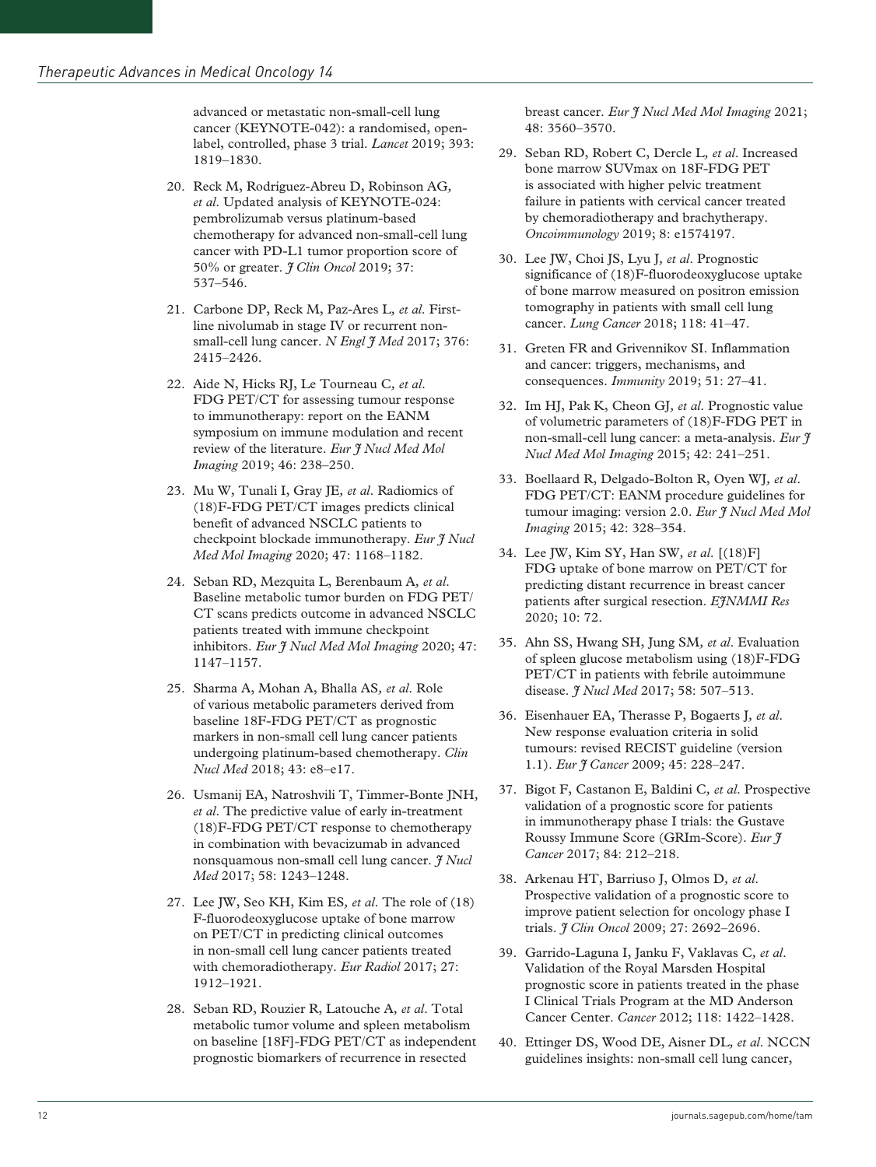advanced or metastatic non-small-cell lung cancer (KEYNOTE-042): a randomised, openlabel, controlled, phase 3 trial. *Lancet* 2019; 393: 1819–1830.

- 20. Reck M, Rodríguez-Abreu D, Robinson AG*, et al*. Updated analysis of KEYNOTE-024: pembrolizumab versus platinum-based chemotherapy for advanced non-small-cell lung cancer with PD-L1 tumor proportion score of 50% or greater. *J Clin Oncol* 2019; 37: 537–546.
- 21. Carbone DP, Reck M, Paz-Ares L*, et al*. Firstline nivolumab in stage IV or recurrent nonsmall-cell lung cancer. *N Engl I Med* 2017; 376: 2415–2426.
- 22. Aide N, Hicks RJ, Le Tourneau C*, et al*. FDG PET/CT for assessing tumour response to immunotherapy: report on the EANM symposium on immune modulation and recent review of the literature. *Eur J Nucl Med Mol Imaging* 2019; 46: 238–250.
- 23. Mu W, Tunali I, Gray JE*, et al*. Radiomics of (18)F-FDG PET/CT images predicts clinical benefit of advanced NSCLC patients to checkpoint blockade immunotherapy. *Eur J Nucl Med Mol Imaging* 2020; 47: 1168–1182.
- 24. Seban RD, Mezquita L, Berenbaum A*, et al*. Baseline metabolic tumor burden on FDG PET/ CT scans predicts outcome in advanced NSCLC patients treated with immune checkpoint inhibitors. *Eur J Nucl Med Mol Imaging* 2020; 47: 1147–1157.
- 25. Sharma A, Mohan A, Bhalla AS*, et al*. Role of various metabolic parameters derived from baseline 18F-FDG PET/CT as prognostic markers in non-small cell lung cancer patients undergoing platinum-based chemotherapy. *Clin Nucl Med* 2018; 43: e8–e17.
- 26. Usmanij EA, Natroshvili T, Timmer-Bonte JNH*, et al*. The predictive value of early in-treatment (18)F-FDG PET/CT response to chemotherapy in combination with bevacizumab in advanced nonsquamous non-small cell lung cancer. *J Nucl Med* 2017; 58: 1243–1248.
- 27. Lee JW, Seo KH, Kim ES*, et al*. The role of (18) F-fluorodeoxyglucose uptake of bone marrow on PET/CT in predicting clinical outcomes in non-small cell lung cancer patients treated with chemoradiotherapy. *Eur Radiol* 2017; 27: 1912–1921.
- 28. Seban RD, Rouzier R, Latouche A*, et al*. Total metabolic tumor volume and spleen metabolism on baseline [18F]-FDG PET/CT as independent prognostic biomarkers of recurrence in resected

breast cancer. *Eur J Nucl Med Mol Imaging* 2021; 48: 3560–3570.

- 29. Seban RD, Robert C, Dercle L*, et al*. Increased bone marrow SUVmax on 18F-FDG PET is associated with higher pelvic treatment failure in patients with cervical cancer treated by chemoradiotherapy and brachytherapy. *Oncoimmunology* 2019; 8: e1574197.
- 30. Lee JW, Choi JS, Lyu J*, et al*. Prognostic significance of (18)F-fluorodeoxyglucose uptake of bone marrow measured on positron emission tomography in patients with small cell lung cancer. *Lung Cancer* 2018; 118: 41–47.
- 31. Greten FR and Grivennikov SI. Inflammation and cancer: triggers, mechanisms, and consequences. *Immunity* 2019; 51: 27–41.
- 32. Im HJ, Pak K, Cheon GJ*, et al*. Prognostic value of volumetric parameters of (18)F-FDG PET in non-small-cell lung cancer: a meta-analysis. *Eur J Nucl Med Mol Imaging* 2015; 42: 241–251.
- 33. Boellaard R, Delgado-Bolton R, Oyen WJ*, et al*. FDG PET/CT: EANM procedure guidelines for tumour imaging: version 2.0. *Eur J Nucl Med Mol Imaging* 2015; 42: 328–354.
- 34. Lee JW, Kim SY, Han SW*, et al*. [(18)F] FDG uptake of bone marrow on PET/CT for predicting distant recurrence in breast cancer patients after surgical resection. *EJNMMI Res* 2020; 10: 72.
- 35. Ahn SS, Hwang SH, Jung SM*, et al*. Evaluation of spleen glucose metabolism using (18)F-FDG PET/CT in patients with febrile autoimmune disease. *J Nucl Med* 2017; 58: 507–513.
- 36. Eisenhauer EA, Therasse P, Bogaerts J*, et al*. New response evaluation criteria in solid tumours: revised RECIST guideline (version 1.1). *Eur J Cancer* 2009; 45: 228–247.
- 37. Bigot F, Castanon E, Baldini C*, et al*. Prospective validation of a prognostic score for patients in immunotherapy phase I trials: the Gustave Roussy Immune Score (GRIm-Score). *Eur J Cancer* 2017; 84: 212–218.
- 38. Arkenau HT, Barriuso J, Olmos D*, et al*. Prospective validation of a prognostic score to improve patient selection for oncology phase I trials. *J Clin Oncol* 2009; 27: 2692–2696.
- 39. Garrido-Laguna I, Janku F, Vaklavas C*, et al*. Validation of the Royal Marsden Hospital prognostic score in patients treated in the phase I Clinical Trials Program at the MD Anderson Cancer Center. *Cancer* 2012; 118: 1422–1428.
- 40. Ettinger DS, Wood DE, Aisner DL*, et al*. NCCN guidelines insights: non-small cell lung cancer,